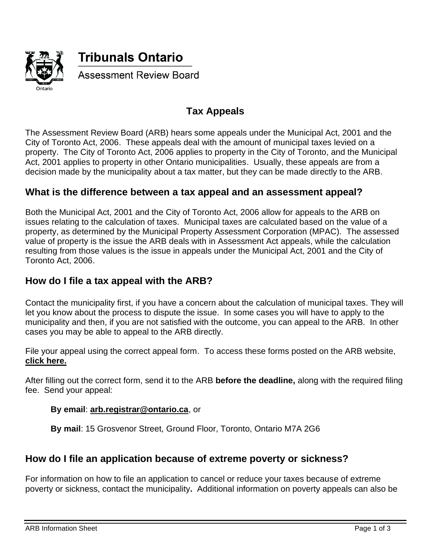

# **Tax Appeals**

The Assessment Review Board (ARB) hears some appeals under the [Municipal Act, 2001](https://www.ontario.ca/laws/statute/01m25) and the [City of Toronto Act, 2006.](https://www.ontario.ca/laws/statute/06c11) These appeals deal with the amount of municipal taxes levied on a property. The [City of Toronto Act, 2006](https://www.ontario.ca/laws/statute/06c11) applies to property in the City of Toronto, and the [Municipal](https://www.ontario.ca/laws/statute/01m25)  [Act, 2001](https://www.ontario.ca/laws/statute/01m25) applies to property in other Ontario municipalities. Usually, these appeals are from a decision made by the municipality about a tax matter, but they can be made directly to the ARB.

#### **What is the difference between a tax appeal and an assessment appeal?**

Both the [Municipal Act, 2001](https://www.ontario.ca/laws/statute/01m25) and the [City of Toronto Act, 2006](https://www.ontario.ca/laws/statute/06c11) allow for appeals to the ARB on issues relating to the calculation of taxes. Municipal taxes are calculated based on the value of a property, as determined by the Municipal Property Assessment Corporation (MPAC). The assessed value of property is the issue the ARB deals with in Assessment Act appeals, while the calculation resulting from those values is the issue in appeals under the [Municipal Act, 2001](https://www.ontario.ca/laws/statute/01m25) and the [City of](https://www.ontario.ca/laws/statute/06c11)  [Toronto Act, 2006.](https://www.ontario.ca/laws/statute/06c11)

# **How do I file a tax appeal with the ARB?**

Contact the municipality first, if you have a concern about the calculation of municipal taxes. They will let you know about the process to dispute the issue. In some cases you will have to apply to the municipality and then, if you are not satisfied with the outcome, you can appeal to the ARB. In other cases you may be able to appeal to the ARB directly.

File your appeal using the correct appeal form. To access these forms posted on the ARB website, **[click here.](http://tribunalsontario.ca/arb/forms/)**

After filling out the correct form, send it to the ARB **before the deadline,** along with the required filing fee. Send your appeal:

#### **By email**: **[arb.registrar@ontario.ca](mailto:arb.registrar@ontario.ca)**, or

**By mail**: 15 Grosvenor Street, Ground Floor, Toronto, Ontario M7A 2G6

# **How do I file an application because of extreme poverty or sickness?**

For information on how to file an application to cancel or reduce your taxes because of extreme poverty or sickness, contact the municipality**.** Additional information on poverty appeals can also be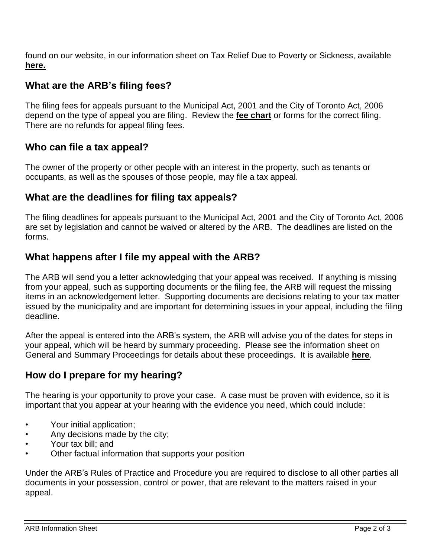found on our website, in our information sheet on Tax Relief Due to Poverty or Sickness, available **[here.](http://tribunalsontario.ca/arb/information-sheets/)**

# **What are the ARB's filing fees?**

The filing fees for appeals pursuant to the Municipal Act, 2001 and the City of Toronto Act, 2006 depend on the type of appeal you are filing. Review the **[fee chart](http://tribunalsontario.ca/arb/fee-chart/)** or forms for the correct filing. There are no refunds for appeal filing fees.

# **Who can file a tax appeal?**

The owner of the property or other people with an interest in the property, such as tenants or occupants, as well as the spouses of those people, may file a tax appeal.

# **What are the deadlines for filing tax appeals?**

The filing deadlines for appeals pursuant to the [Municipal Act, 2001](https://www.ontario.ca/laws/statute/01m25) and the [City of Toronto Act, 2006](https://www.ontario.ca/laws/statute/06c11) are set by legislation and cannot be waived or altered by the ARB. The deadlines are listed on the forms.

# **What happens after I file my appeal with the ARB?**

The ARB will send you a letter acknowledging that your appeal was received. If anything is missing from your appeal, such as supporting documents or the filing fee, the ARB will request the missing items in an acknowledgement letter. Supporting documents are decisions relating to your tax matter issued by the municipality and are important for determining issues in your appeal, including the filing deadline.

After the appeal is entered into the ARB's system, the ARB will advise you of the dates for steps in your appeal, which will be heard by summary proceeding. Please see the information sheet on General and Summary Proceedings for details about these proceedings. It is available **[here](http://tribunalsontario.ca/arb/information-sheets/)**.

# **How do I prepare for my hearing?**

The hearing is your opportunity to prove your case. A case must be proven with evidence, so it is important that you appear at your hearing with the evidence you need, which could include:

- Your initial application;
- Any decisions made by the city;
- Your tax bill; and
- Other factual information that supports your position

Under the ARB's Rules of Practice and Procedure you are required to disclose to all other parties all documents in your possession, control or power, that are relevant to the matters raised in your appeal.